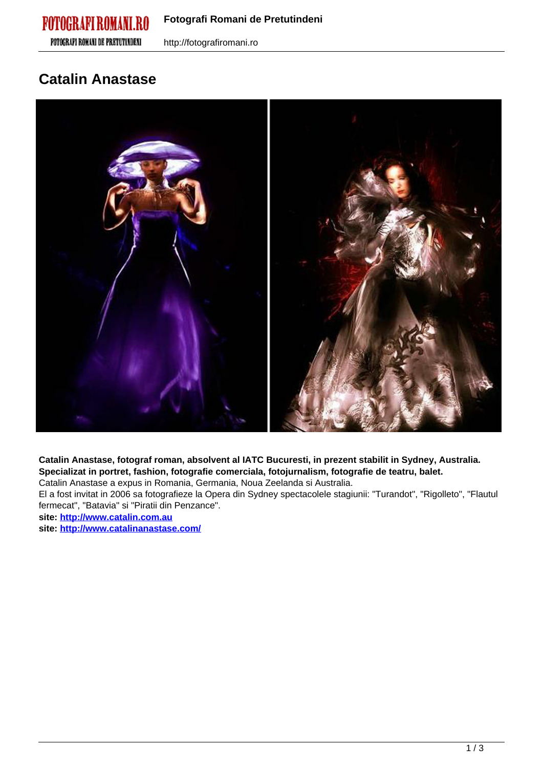# **FOTOGRAFI ROMANI DE PRETUTINDENI**



**Catalin Anastase, fotograf roman, absolvent al IATC Bucuresti, in prezent stabilit in Sydney, Australia. Specializat in portret, fashion, fotografie comerciala, fotojurnalism, fotografie de teatru, balet.**

Catalin Anastase a expus in Romania, Germania, Noua Zeelanda si Australia.

El a fost invitat in 2006 sa fotografieze la Opera din Sydney spectacolele stagiunii: "Turandot", "Rigolleto", "Flautul fermecat", "Batavia" si "Piratii din Penzance".

**site: <http://www.catalin.com.au>**

**site: <http://www.catalinanastase.com/>**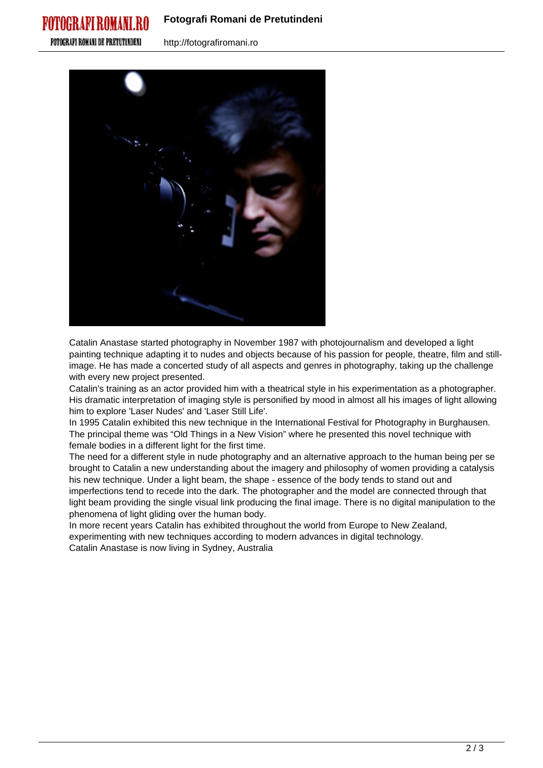## **Fotografi Romani de Pretutindeni**

**FOTOGRAFI ROMANI DE PRETUTINDENI** 

POTOGRAPI ROMANI

http://fotografiromani.ro



Catalin Anastase started photography in November 1987 with photojournalism and developed a light painting technique adapting it to nudes and objects because of his passion for people, theatre, film and stillimage. He has made a concerted study of all aspects and genres in photography, taking up the challenge with every new project presented.

Catalin's training as an actor provided him with a theatrical style in his experimentation as a photographer. His dramatic interpretation of imaging style is personified by mood in almost all his images of light allowing him to explore 'Laser Nudes' and 'Laser Still Life'.

In 1995 Catalin exhibited this new technique in the International Festival for Photography in Burghausen. The principal theme was "Old Things in a New Vision" where he presented this novel technique with female bodies in a different light for the first time.

The need for a different style in nude photography and an alternative approach to the human being per se brought to Catalin a new understanding about the imagery and philosophy of women providing a catalysis his new technique. Under a light beam, the shape - essence of the body tends to stand out and imperfections tend to recede into the dark. The photographer and the model are connected through that light beam providing the single visual link producing the final image. There is no digital manipulation to the phenomena of light gliding over the human body.

In more recent years Catalin has exhibited throughout the world from Europe to New Zealand, experimenting with new techniques according to modern advances in digital technology. Catalin Anastase is now living in Sydney, Australia